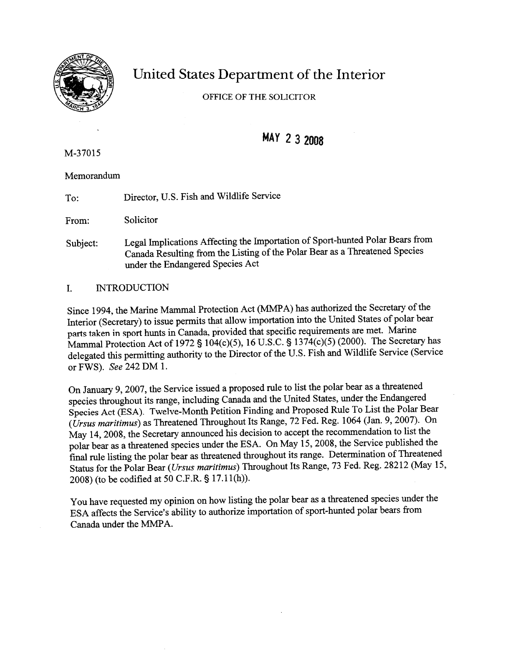

# United States Department of the Interior

OFFICE OF THE SOLICITOR

# MAY 2 3 2008

M-37015

Memorandum

To: Director, U.S. Fish and Wildlife Service

From: Solicitor

Subject: Legal Implications Affecting the Importation of Sport-hunted Polar Bears from Canada Resulting fiom the Listing of the Polar Bear **as** a Threatened Species under the Endangered Species Act

# I. INTRODUCTION

Since 1994, the Marine Mammal Protection Act (MMPA) has authorized the Secretary of the Interior (Secretary) to issue permits that allow importation into the United States of polar bear parts taken in sport hunts in Canada, provided that specific requirements are met. Marine Mammal Protection Act of 1972 § 104(c)(5), 16 U.S.C. **3** 1374(c)(5) (2000). The Secretary has delegated this permitting authority to the Director of the U.S. Fish and Wildlife Service (Service or FWS). *See* 242 DM 1.

On January 9,2007, the Service issued a proposed rule to list the polar bear as a threatened species throughout its range, including Canada and the United States, under the Endangered Species Act (ESA). Twelve-Month Petition Finding and Proposed Rule To List the Polar Bear (Ursus maritimus) **as** Threatened Throughout Its Range, 72 Fed. Reg. 1064 (Jan. 9,2007). On May 14,2008, the Secretary announced his decision to accept the recommendation to list the polar bear as a threatened species under the ESA. On May 15,2008, the Service published the final rule listing the polar bear as threatened throughout its range. Determination of Threatened Status for the Polar Bear (Ursus maritimus) Throughout Its Range, 73 Fed. Reg. 28212 (May 15, 2008) (to be codified at 50 C.F.R. **5** 17.1 l(h)).

You have requested my opinion on how listing the polar bear as a threatened species under the ESA affects the Service's ability to authorize importation of sport-hunted polar bears from Canada under the MMPA.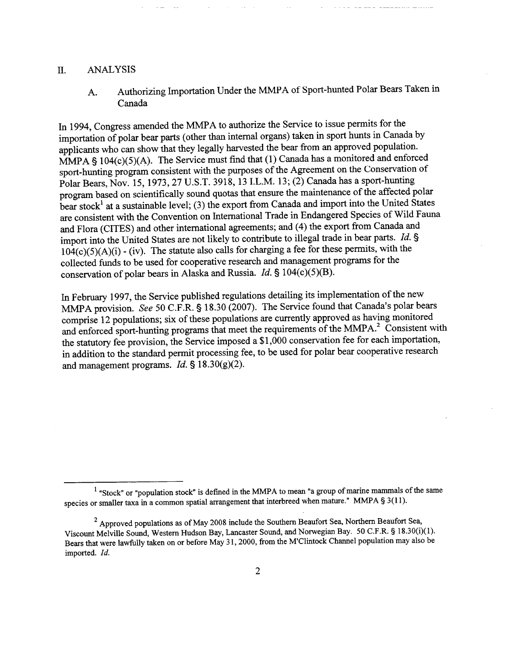### 11. ANALYSIS

A. Authorizing Importation Under the MMPA of Sport-hunted Polar Bears Taken in Canada

In 1994, Congress amended the MMPA to authorize the Service to issue permits for the importation of polar bear parts (other than internal organs) taken in sport hunts in Canada by applicants who can show that they legally harvested the bear from an approved population. MMPA  $§$  104(c)(5)(A). The Service must find that (1) Canada has a monitored and enforced sport-hunting program consistent with the purposes of the Agreement on the Conservation of Polar Bears, Nov. 15, 1973,27 U.S.T. 3918, 13 I.L.M. 13; (2) Canada has a sport-hunting program based on scientifically sound quotas that ensure the maintenance of the affected polar bear stock<sup>1</sup> at a sustainable level; (3) the export from Canada and import into the United States are consistent with the Convention on International Trade in Endangered Species of Wild Fauna and Flora (CITES) and other international agreements; and (4) the export from Canada and import into the United States are not likely to contribute to illegal trade in bear parts. Id. §  $104(c)(5)(A)(i)$  - (iv). The statute also calls for charging a fee for these permits, with the collected funds to be used for cooperative research and management programs for the conservation of polar bears in Alaska and Russia. *Id.* § 104(c)(5)(B).

In February 1997, the Service published regulations detailing its implementation of the new MMPA provision. See 50 C.F.R. § 18.30 (2007). The Service found that Canada's polar bears comprise 12 populations; six of these populations are currently approved as having monitored and enforced sport-hunting programs that meet the requirements of the MMPA.<sup>2</sup> Consistent with the statutory fee provision, the Service imposed a \$1,000 conservation fee for each importation, in addition to the standard permit processing fee, to be used for polar bear cooperative research and management programs. *Id.* § 18.30(g)(2).

 $<sup>1</sup>$  "Stock" or "population stock" is defined in the MMPA to mean "a group of marine mammals of the same</sup> species or smaller taxa in a common spatial arrangement that interbreed when mature." MMPA **5** 3(11).

 $^{2}$  Approved populations as of May 2008 include the Southern Beaufort Sea, Northern Beaufort Sea, Viscount Melville Sound, Western Hudson Bay, Lancaster Sound, and Norwegian Bay. 50 C.F.R. **5** 1 8.30(i)(l). Bears that were lawfully taken on or before May 3 1,2000, from the M'Clintock Channel population may also be imported. Id.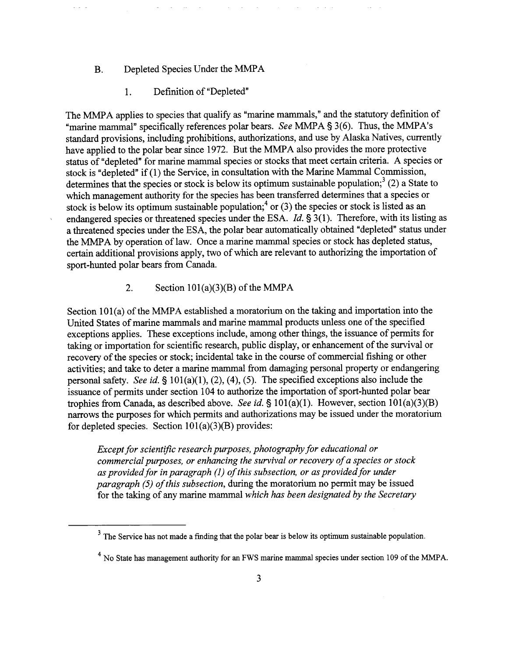# B. Depleted Species Under the MMPA

#### 1. Definition of "Depleted"

The MMPA applies to species that qualify as "marine mammals," and the statutory definition of "marine mammal" specifically references polar bears. *See* MMPA **5** 3(6). Thus, the MMPA's standard provisions, including prohibitions, authorizations, and use by Alaska Natives, currently have applied to the polar bear since 1972. But the MMPA also provides the more protective status of "depleted" for marine mammal species or stocks that meet certain criteria. **A** species or stock is "depleted" if (1) the Service, in consultation with the Marine Mammal Commission, determines that the species or stock is below its optimum sustainable population;<sup>3</sup> (2) a State to which management authority for the species has been transferred determines that a species or stock is below its optimum sustainable population;<sup>4</sup> or (3) the species or stock is listed as an endangered species or threatened species under the ESA. *Id.* **5** 3(1). Therefore, with its listing as a threatened species under the ESA, the polar bear automatically obtained "depleted" status under the MMPA by operation of law. Once a marine mammal species or stock has depleted status, certain additional provisions apply, two of which are relevant to authorizing the importation of sport-hunted polar bears fiom Canada.

# 2. **Section 101(a)(3)(B) of the MMPA**

Section 101(a) of the MMPA established a moratorium on the taking and importation into the United States of marine mammals and marine mammal products unless one of the specified exceptions applies. These exceptions include, among other things, the issuance of permits for taking or importation for scientific research, public display, or enhancement of the survival or recovery of the species or stock; incidental take in the course of commercial fishing or other activities; and take to deter a marine mammal fiom damaging personal property or endangering personal safety. *See id.* **5** 101(a)(l), **(2),** (4), (5). The specified exceptions also include the issuance of permits under section 104 to authorize the importation of sport-hunted polar bear trophies from Canada, as described above. *See id.*  $\S 101(a)(1)$ . However, section  $101(a)(3)(B)$ narrows the purposes for which permits and authorizations may be issued under the moratorium for depleted species. Section  $101(a)(3)(B)$  provides:

*Except for scientific research purposes, photography for educational or commercial purposes, or enhancing the survival or recovery of a species or stock as provided for in paragraph (I) of this subsection, or as provided for under paragraph (5) of this subsection,* during the moratorium no permit may be issued for the taking of any marine mammal *which has been designated by the Secretary* 

 $3<sup>3</sup>$  The Service has not made a finding that the polar bear is below its optimum sustainable population.

<sup>&</sup>lt;sup>4</sup> No State has management authority for an FWS marine mammal species under section 109 of the MMPA.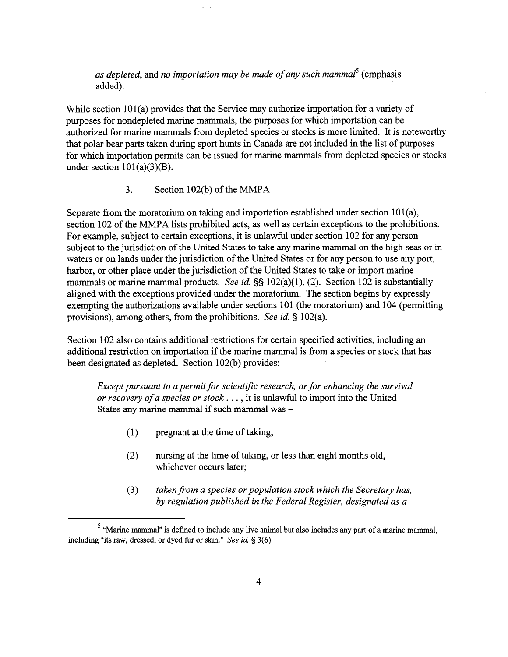*as depleted,* and *no importation may be made ofany such mammal5* (emphasis added).

While section  $101(a)$  provides that the Service may authorize importation for a variety of purposes for nondepleted marine mammals, the purposes for which importation can be authorized for marine mammals fiom depleted species or stocks is more limited. It is noteworthy that polar bear parts taken during sport hunts in Canada are not included in the list of purposes for which importation permits can be issued for marine mammals from depleted species or stocks under section  $101(a)(3)(B)$ .

**3.** Section 102(b) of the MMPA

Separate from the moratorium on taking and importation established under section  $101(a)$ , section 102 of the MMPA lists prohibited acts, as well as certain exceptions to the prohibitions. For example, subject to certain exceptions, it is unlawful under section 102 for any person subject to the jurisdiction of the United States to take any marine mammal on the high seas or in waters or on lands under the jurisdiction of the United States or for any person to use any port, harbor, or other place under the jurisdiction of the United States to take or import marine mammals or marine mammal products. *See id.* §§ 102(a)(1), (2). Section 102 is substantially aligned with the exceptions provided under the moratorium. The section begins by expressly exempting the authorizations available under sections  $101$  (the moratorium) and  $104$  (permitting provisions), among others, fiom the prohibitions. *See id.* § 102(a).

Section 102 also contains additional restrictions for certain specified activities, including an additional restriction on importation if the marine mammal is from a species or stock that has been designated as depleted. Section 102(b) provides:

*Except pursuant to a permit for scientific research, or for enhancing the survival or recovery of a species or stock.* . . , it is unlawful to import into the United States any marine mammal if such mammal was -

- (1) pregnant at the time of taking;
- (2) nursing at the time of taking, or less than eight months old, whichever occurs later;
- (3) taken from a species or population stock which the Secretary has, *by regulation published in the Federal Register, designated as a*

<sup>&</sup>quot;Marine mammal" is defined to include any live animal but also includes any **part** of a marine mammal, including "its raw, dressed, or dyed fur or skin." *See* **id.** § **3(6).**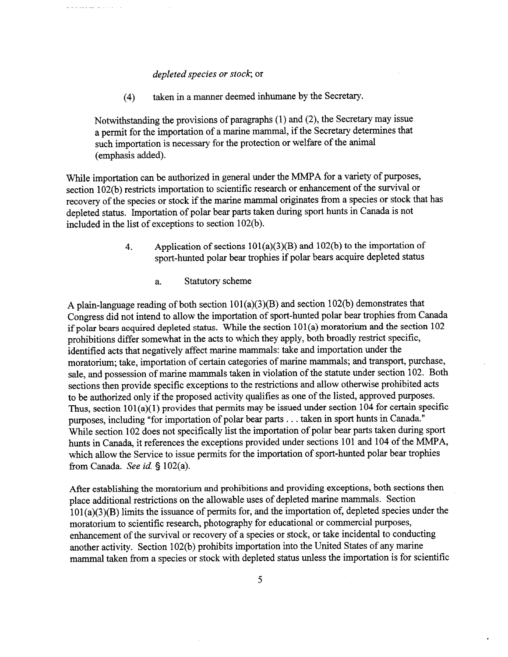#### *depleted species or stock;* or

(4) taken in a manner deemed inhumane by the Secretary.

Notwithstanding the provisions of paragraphs (1) and (2), the Secretary may issue a permit for the importation of a marine mammal, if the Secretary determines that such importation is necessary for the protection or welfare of the animal (emphasis added).

While importation can be authorized in general under the MMPA for a variety of purposes, section 102(b) restricts importation to scientific research or enhancement of the survival or recovery of the species or stock if the marine mammal originates fiom a species or stock that has depleted status. Importation of polar bear parts taken during sport hunts in Canada is not included in the list of exceptions to section 102(b).

- 4. Application of sections  $101(a)(3)(B)$  and  $102(b)$  to the importation of sport-hunted polar bear trophies if polar bears acquire depleted status
	- a. Statutory scheme

A plain-language reading of both section  $101(a)(3)(B)$  and section  $102(b)$  demonstrates that Congress did not intend to allow the importation of sport-hunted polar bear trophies from Canada if polar bears acquired depleted status. While the section  $101(a)$  moratorium and the section  $102$ prohibitions differ somewhat in the acts to which they apply, both broadly restrict specific, identified acts that negatively affect marine mammals: take and importation under the moratorium; take, importation of certain categories of marine mammals; and transport, purchase, sale, and possession of marine mammals taken in violation of the statute under section 102. Both sections then provide specific exceptions to the restrictions and allow otherwise prohibited acts to be authorized only if the proposed activity qualifies as one of the listed, approved purposes. Thus, section  $101(a)(1)$  provides that permits may be issued under section 104 for certain specific purposes, including "for importation of polar bear parts . . . taken in sport hunts in Canada." While section 102 does not specifically list the importation of polar bear parts taken during sport hunts in Canada, it references the exceptions provided under sections 101 and 104 of the MMPA, which allow the Service to issue permits for the importation of sport-hunted polar bear trophies fiom Canada. *See id.* § 102(a).

After establishing the moratorium and prohibitions and providing exceptions, both sections then place additional restrictions on the allowable uses of depleted marine mammals. Section  $101(a)(3)(B)$  limits the issuance of permits for, and the importation of, depleted species under the moratorium to scientific research, photography for educational or commercial purposes, enhancement of the survival or recovery of a species or stock, or take incidental to conducting another activity. Section 102(b) prohibits importation into the United States of any marine mammal taken from a species or stock with depleted status unless the importation is for scientific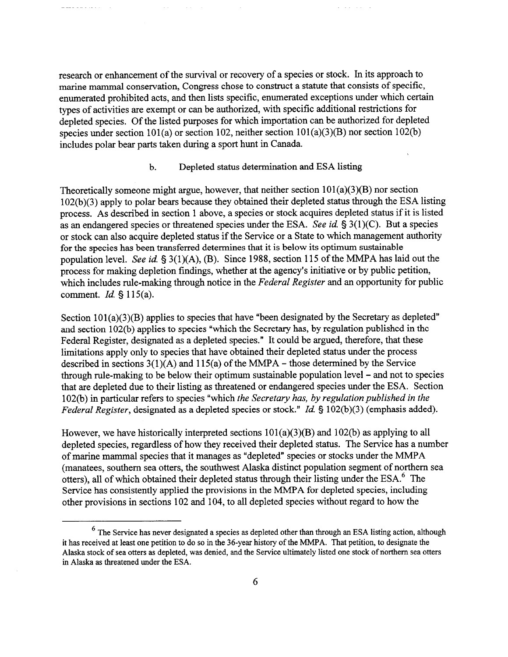research or enhancement of the survival or recovery of a species or stock. In its approach to marine mammal conservation, Congress chose to construct a statute that consists of specific, enumerated prohibited acts, and then lists specific, enumerated exceptions under which certain types of activities are exempt or can be authorized, with specific additional restrictions for depleted species. Of the listed purposes for which importation can be authorized for depleted species under section 101(a) or section 102, neither section  $101(a)(3)(B)$  nor section 102(b) includes polar bear parts taken during a sport hunt in Canada.

and a state of

#### b. Depleted status determination and ESA listing

Theoretically someone might argue, however, that neither section  $101(a)(3)(B)$  nor section 102(b)(3) apply to polar bears because they obtained their depleted status through the ESA listing process. As described in section 1 above, a species or stock acquires depleted status if it is listed as an endangered species or threatened species under the ESA. *See* id. § **3(1)(C).** But a species or stock can also acquire depleted status if the Service or a State to which management authority for the species has been transferred determines that it is below its optimum sustainable population level. *See id.* § 3(1)(A), *(B).* Since 1988, section 115 of the MMPA has laid out the process for making depletion findings, whether at the agency's initiative or by public petition, which includes rule-making through notice in the *Federal Register* and an opportunity for public comment. *Id.* § 115(a).

Section 101(a)(3)(B) applies to species that have "been designated by the Secretary as depleted" and section 102(b) applies to species "which the Secretary has, by regulation published in the Federal Register, designated as a depleted species." It could be argued, therefore, that these limitations apply only to species that have obtained their depleted status under the process described in sections  $3(1)(A)$  and  $115(a)$  of the MMPA – those determined by the Service through rule-making to be below their optimum sustainable population level - and not to species that are depleted due to their listing as threatened or endangered species under the ESA. Section 102(b) in particular refers to species "which *the Secretary has, by regulation published in the Federal Register,* designated *as* a depleted species or stock." *Id.* § 102(b)(3) (emphasis added).

However, we have historically interpreted sections  $101(a)(3)(B)$  and  $102(b)$  as applying to all depleted species, regardless of how they received their depleted status. The Service has a number of marine mammal species that it manages as "depleted" species or stocks under the MMPA (manatees, southern sea otters, the southwest Alaska distinct population segment of northern sea otters), all of which obtained their depleted status through their listing under the ESA.<sup>6</sup> The Service has consistently applied the provisions in the MMPA for depleted species, including other provisions in sections 102 and 104, to all depleted species without regard to how the

The Service has never designated a species as depleted other than through **an** ESA listing action, although **it** has received at least one petition to do so in the 36-year history of the MMPA. That petition, to designate the Alaska stock of sea otters as depleted, was denied, and the Service ultimately listed one stock of northern sea otters in Alaska as threatened under the ESA.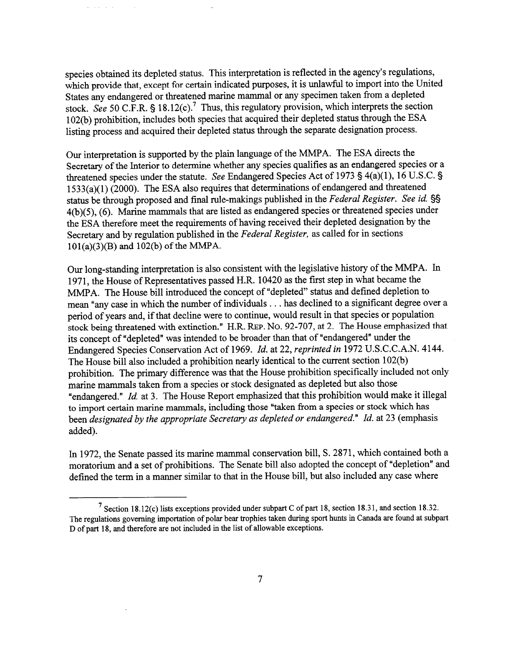species obtained its depleted status. This interpretation is reflected in the agency's regulations, which provide that, except for certain indicated purposes, it is unlawful to import into the United States any endangered or threatened marine mammal or any specimen taken from a depleted stock. *See* 50 C.F.R. § 18.12(c).<sup>7</sup> Thus, this regulatory provision, which interprets the section 102(b) prohibition, includes both species that acquired their depleted status through the ESA listing process and acquired their depleted status through the separate designation process.

and a state

Our interpretation is supported by the plain language of the MMPA. The ESA directs the Secretary of the Interior to determine whether any species qualifies as an endangered species or a threatened species under the statute. *See* Endangered Species Act of 1973 § 4(a)(l), 16 U.S.C. § 1533(a)(1) (2000). The ESA also requires that determinations of endangered and threatened status be through proposed and final rule-makings published in the *Federal Register. See* **id.** §§ **4(b)(5),** *(6).* Marine mammals that are listed as endangered species or threatened species under the ESA therefore meet the requirements of having received their depleted designation by the Secretary and by regulation published in the *Federal Register,* as called for in sections 101(a)(3)(B) and 102(b) of the MMPA.

**Our** long-standing interpretation is also consistent with the legislative history of the MMPA. In 197 1, the House of Representatives passed H.R. 10420 **as** the first step in what became the MMPA. The House bill introduced the concept of "depleted" status and defined depletion to mean "any case in which the number of individuals . . . has declined to a significant degree over a period of years and, if that decline were to continue, would result in that species or population stock being threatened with extinction." H.R. **REP.** NO. 92-707, at 2. The House emphasized that its concept of "depleted" was intended to be broader than that of "endangered" under the Endangered Species Conservation Act of 1969. *Id.* at 22, *reprinted in* 1972 U.S.C.C.A.N. 4144. The House bill also included a prohibition nearly identical to the current section 102(b) prohibition. The primary difference was that the House prohibition specifically included not only marine mammals taken fiom a species or stock designated as depleted but also those "endangered." *Id.* at 3. The House Report emphasized that this prohibition would make it illegal to import certain marine mammals, including those "taken from a species or stock which has been *designated* by *the appropriate Secretary as depleted or endangered." Id.* at 23 (emphasis added).

In 1972, the Senate passed its marine mammal conservation bill, S. 2871, which contained both a moratorium and a set of prohibitions. The Senate bill also adopted the concept of "depletion" and defined the term in a manner similar to that in the House bill, but also included any case where -- - - --

<sup>&</sup>lt;sup>7</sup> Section 18.12(c) lists exceptions provided under subpart C of part 18, section 18.31, and section 18.32. The regulations governing importation of polar bear trophies taken **during** sport hunts in Canada are found at subpart D of part 18, and therefore are not included in the list of allowable exceptions.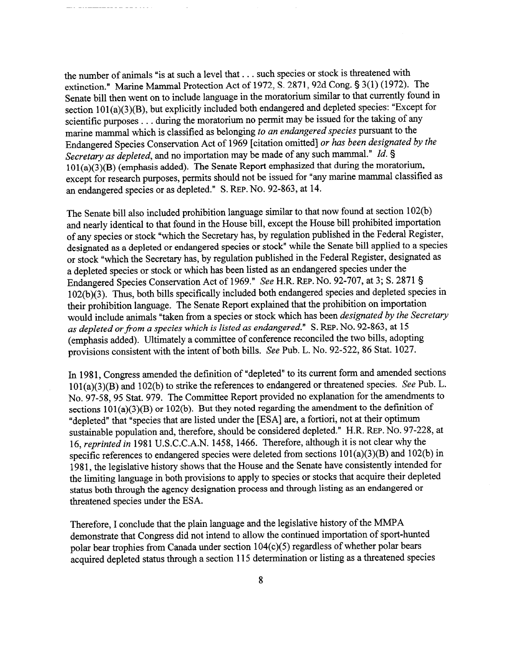the number of animals "is at such a level that . . . such species or stock is threatened with extinction." Marine Mammal Protection Act of 1972, S. 2871,92d Cong. § 3(1) (1972). The Senate bill then went on to include language in the moratorium similar to that currently found in section  $101(a)(3)(B)$ , but explicitly included both endangered and depleted species: "Except for scientific purposes . . . during the moratorium no permit may be issued for the taking of any marine mammal which is classified as belonging *to an endangered species* pursuant to the Endangered Species Conservation Act of 1969 [citation omitted] *or has been designated by the Secretary as depleted,* and no importation may be made of any such mammal." *Id.* 5  $101(a)(3)(B)$  (emphasis added). The Senate Report emphasized that during the moratorium, except for research purposes, permits should not be issued for "any marine mammal classified **as**  an endangered species or as depleted." S. REP. NO. 92-863, at 14.

The Senate bill also included prohibition language similar to that now found at section 102(b) and nearly identical to that found in the House bill, except the House bill prohibited importation of any species or stock "which the Secretary has, by regulation published in the Federal Register, designated as a depleted or endangered species or stock" while the Senate bill applied to a species or stock "which the Secretary has, by regulation published in the Federal Register, designated as a depleted species or stock or which has been listed **as** an endangered species under the Endangered Species Conservation Act of 1969." *See* H.R. REP. *NO.* 92-707, at **3;** S. 2871 § 102(b)(3). Thus, both bills specifically included both endangered species and depleted species in their prohibition language. The Senate Report explained that the prohibition on importation would include animals "taken fiom a species or stock which has been *designated by the Secretary as depleted orfiorn a species which is listed as endangered." S. REP. NO.* 92-863, at 15 (emphasis added). Ultimately a committee of conference reconciled the two bills, adopting provisions consistent with the intent of both bills. *See* Pub. L. No. 92-522,86 Stat. 1027.

In 1981, Congress amended the definition of "depleted" to its current form and amended sections 101 (a)(3)(B) and 102(b) to strike the references to endangered or threatened species. *See* Pub. L. No. 97-58,95 Stat. 979. The Committee Report provided no explanation for the amendments to sections  $101(a)(3)(B)$  or  $102(b)$ . But they noted regarding the amendment to the definition of "depleted" that "species that are listed under the [ESA] are, a fortiori, not at their optimum sustainable population and, therefore, should be considered depleted." H.R. REP. NO. 97-228, at 16, *reprinted in* 1981 U.S.C.C.A.N. 1458, 1466. Therefore, although it is not clear why the specific references to endangered species were deleted from sections  $101(a)(3)(B)$  and  $102(b)$  in 198 1, the legislative history shows that the House and the Senate have consistently intended for the limiting language in both provisions to apply to species or stocks that acquire their depleted status both through the agency designation process and through listing as an endangered or threatened species under the ESA.

Therefore, I conclude that the plain language and the legislative history of the MMPA demonstrate that Congress did not intend to allow the continued importation of sport-hunted polar bear trophies from Canada under section 104(c)(5) regardless of whether polar bears acquired depleted status through a section 115 determination or listing as a threatened species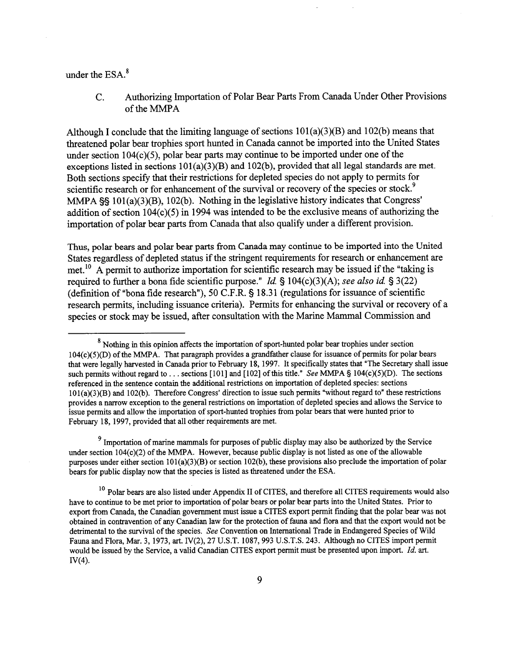### under the  $ESA.^8$

C. Authorizing Importation of Polar Bear Parts From Canada Under Other Provisions of the MMPA

Although I conclude that the limiting language of sections  $101(a)(3)(B)$  and  $102(b)$  means that threatened polar bear trophies sport hunted in Canada cannot be imported into the United States under section  $104(c)(5)$ , polar bear parts may continue to be imported under one of the exceptions listed in sections  $101(a)(3)(B)$  and  $102(b)$ , provided that all legal standards are met. Both sections specify that their restrictions for depleted species do not apply to permits for scientific research or for enhancement of the survival or recovery of the species or stock.<sup>9</sup> MMPA  $\S$ § 101(a)(3)(B), 102(b). Nothing in the legislative history indicates that Congress' addition of section 104(c)(5) in 1994 was intended to be the exclusive means of authorizing the importation of polar bear parts from Canada that also qualify under a different provision.

Thus, polar bears and polar bear parts from Canada may continue to be imported into the United States regardless of depleted status if the stringent requirements for research or enhancement are met.<sup>10</sup> A permit to authorize importation for scientific research may be issued if the "taking is required to further a bona fide scientific purpose." Id. § 104(c)(3)(A); *see* also id. § 3(22) (definition of "bona fide research"), 50 C.F.R. **5** 18.3 1 (regulations for issuance of scientific research permits, including issuance criteria). Permits for enhancing the survival or recovery of a species or stock may be issued, after consultation with the Marine Mammal Commission and

 $8$  Nothing in this opinion affects the importation of sport-hunted polar bear trophies under section  $104(c)(5)(D)$  of the MMPA. That paragraph provides a grandfather clause for issuance of permits for polar bears that were legally harvested in Canada prior to February 18, 1997. It specifically states that "The Secretary shall issue such permits without regard to . . . sections [101] and [102] of this title." See MMPA  $\S$  104(c)(5)(D). The sections referenced in the sentence contain the additional restrictions on importation of depleted species: sections 10 1(a)(3)(B) and 102(b). Therefore Congress' direction to issue such permits "without regard to" these restrictions provides a narrow exception to the general restrictions on importation of depleted species and allows the Service to issue permits and allow the importation of sport-hunted trophies from polar bears that were hunted prior to February 18, 1997, provided that all other requirements are met.

<sup>&</sup>lt;sup>9</sup> Importation of marine mammals for purposes of public display may also be authorized by the Service under section 104(c)(2) of the MMPA. However, because public display is not listed as one of the allowable purposes under either section IOI(a)(3)(B) or section 102(b), these provisions also preclude the importation of polar bears for public display now that the species is listed **as** threatened under the ESA.

<sup>&</sup>lt;sup>10</sup> Polar bears are also listed under Appendix II of CITES, and therefore all CITES requirements would also have to continue to be met prior to importation of polar bears or polar bear parts into the United States. Prior to export fiom Canada, the Canadian government must issue a CITES export permit finding that the polar bear was not obtained in contravention of any Canadian law for the protection of fauna and flora and that the export would not be detrimental to the survival of the species. **See** Convention on International Trade in Endangered Species of Wild Fauna and Flora, Mar. 3, 1973, art. IV(2), 27 U.S.T. 1087,993 U.S.T.S. 243. Although no CITES import permit would be issued by the Service, a valid Canadian CITES export permit must be presented upon import. *Id.* **art.**   $IV(4)$ .